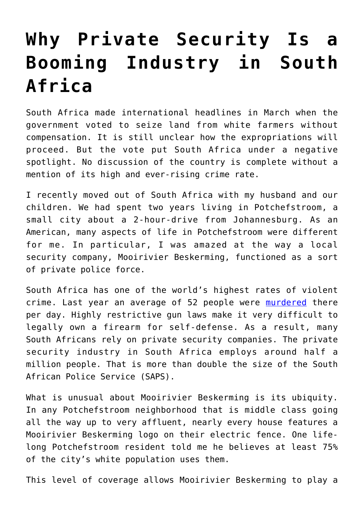## **[Why Private Security Is a](https://intellectualtakeout.org/2018/04/why-private-security-is-a-booming-industry-in-south-africa/) [Booming Industry in South](https://intellectualtakeout.org/2018/04/why-private-security-is-a-booming-industry-in-south-africa/) [Africa](https://intellectualtakeout.org/2018/04/why-private-security-is-a-booming-industry-in-south-africa/)**

South Africa made international headlines in March when the government voted to seize land from white farmers without compensation. It is still unclear how the expropriations will proceed. But the vote put South Africa under a negative spotlight. No discussion of the country is complete without a mention of its high and ever-rising crime rate.

I recently moved out of South Africa with my husband and our children. We had spent two years living in Potchefstroom, a small city about a 2-hour-drive from Johannesburg. As an American, many aspects of life in Potchefstroom were different for me. In particular, I was amazed at the way a local security company, Mooirivier Beskerming, functioned as a sort of private police force.

South Africa has one of the world's highest rates of violent crime. Last year an average of 52 people were [murdered](https://africacheck.org/factsheets/south-africas-crime-statistics-201617/) there per day. Highly restrictive gun laws make it very difficult to legally own a firearm for self-defense. As a result, many South Africans rely on private security companies. The private security industry in South Africa employs around half a million people. That is more than double the size of the South African Police Service (SAPS).

What is unusual about Mooirivier Beskerming is its ubiquity. In any Potchefstroom neighborhood that is middle class going all the way up to very affluent, nearly every house features a Mooirivier Beskerming logo on their electric fence. One lifelong Potchefstroom resident told me he believes at least 75% of the city's white population uses them.

This level of coverage allows Mooirivier Beskerming to play a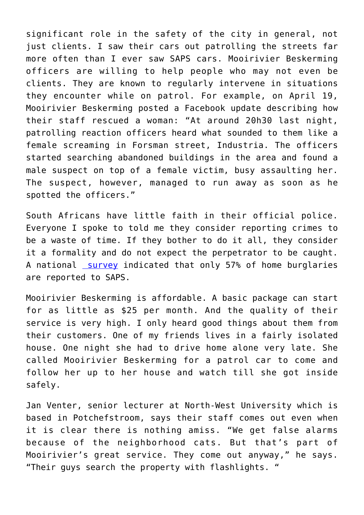significant role in the safety of the city in general, not just clients. I saw their cars out patrolling the streets far more often than I ever saw SAPS cars. Mooirivier Beskerming officers are willing to help people who may not even be clients. They are known to regularly intervene in situations they encounter while on patrol. For example, on April 19, Mooirivier Beskerming posted a Facebook update describing how their staff rescued a woman: "At around 20h30 last night, patrolling reaction officers heard what sounded to them like a female screaming in Forsman street, Industria. The officers started searching abandoned buildings in the area and found a male suspect on top of a female victim, busy assaulting her. The suspect, however, managed to run away as soon as he spotted the officers."

South Africans have little faith in their official police. Everyone I spoke to told me they consider reporting crimes to be a waste of time. If they bother to do it all, they consider it a formality and do not expect the perpetrator to be caught. A national [survey](https://africacheck.org/factsheets/south-africas-crime-statistics-201617/) indicated that only 57% of home burglaries are reported to SAPS.

Mooirivier Beskerming is affordable. A basic package can start for as little as \$25 per month. And the quality of their service is very high. I only heard good things about them from their customers. One of my friends lives in a fairly isolated house. One night she had to drive home alone very late. She called Mooirivier Beskerming for a patrol car to come and follow her up to her house and watch till she got inside safely.

Jan Venter, senior lecturer at North-West University which is based in Potchefstroom, says their staff comes out even when it is clear there is nothing amiss. "We get false alarms because of the neighborhood cats. But that's part of Mooirivier's great service. They come out anyway," he says. "Their guys search the property with flashlights. "